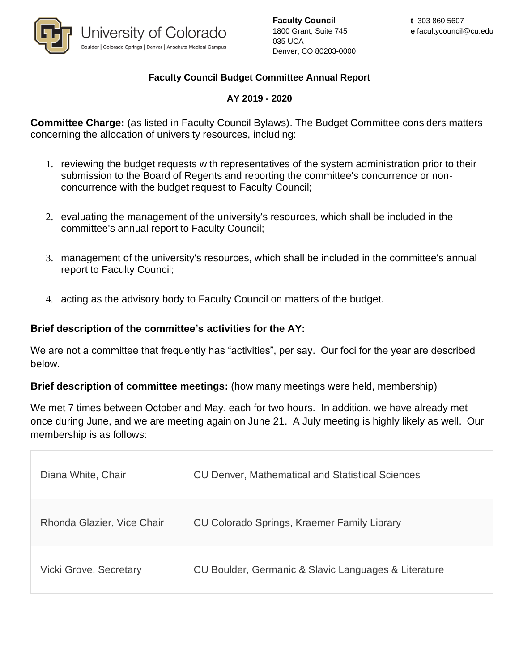

**Faculty Council** 1800 Grant, Suite 745 035 UCA Denver, CO 80203-0000

## **Faculty Council Budget Committee Annual Report**

## **AY 2019 - 2020**

**Committee Charge:** (as listed in Faculty Council Bylaws). The Budget Committee considers matters concerning the allocation of university resources, including:

- 1. reviewing the budget requests with representatives of the system administration prior to their submission to the Board of Regents and reporting the committee's concurrence or nonconcurrence with the budget request to Faculty Council;
- 2. evaluating the management of the university's resources, which shall be included in the committee's annual report to Faculty Council;
- 3. management of the university's resources, which shall be included in the committee's annual report to Faculty Council;
- 4. acting as the advisory body to Faculty Council on matters of the budget.

## **Brief description of the committee's activities for the AY:**

We are not a committee that frequently has "activities", per say. Our foci for the year are described below.

**Brief description of committee meetings:** (how many meetings were held, membership)

We met 7 times between October and May, each for two hours. In addition, we have already met once during June, and we are meeting again on June 21. A July meeting is highly likely as well. Our membership is as follows:

| Diana White, Chair            | <b>CU Denver, Mathematical and Statistical Sciences</b> |
|-------------------------------|---------------------------------------------------------|
| Rhonda Glazier, Vice Chair    | CU Colorado Springs, Kraemer Family Library             |
| <b>Vicki Grove, Secretary</b> | CU Boulder, Germanic & Slavic Languages & Literature    |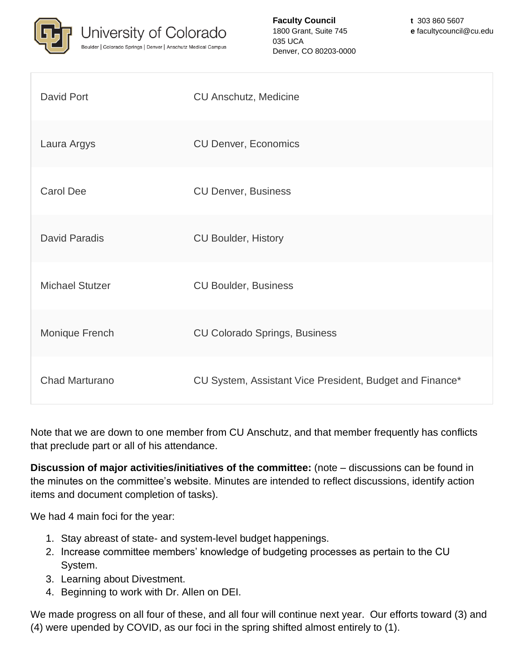

**Faculty Council** 1800 Grant, Suite 745 035 UCA Denver, CO 80203-0000

| David Port             | <b>CU Anschutz, Medicine</b>                             |
|------------------------|----------------------------------------------------------|
| Laura Argys            | <b>CU Denver, Economics</b>                              |
| <b>Carol Dee</b>       | <b>CU Denver, Business</b>                               |
| <b>David Paradis</b>   | <b>CU Boulder, History</b>                               |
| <b>Michael Stutzer</b> | <b>CU Boulder, Business</b>                              |
| Monique French         | <b>CU Colorado Springs, Business</b>                     |
| <b>Chad Marturano</b>  | CU System, Assistant Vice President, Budget and Finance* |

Note that we are down to one member from CU Anschutz, and that member frequently has conflicts that preclude part or all of his attendance.

**Discussion of major activities/initiatives of the committee:** (note – discussions can be found in the minutes on the committee's website. Minutes are intended to reflect discussions, identify action items and document completion of tasks).

We had 4 main foci for the year:

- 1. Stay abreast of state- and system-level budget happenings.
- 2. Increase committee members' knowledge of budgeting processes as pertain to the CU System.
- 3. Learning about Divestment.
- 4. Beginning to work with Dr. Allen on DEI.

We made progress on all four of these, and all four will continue next year. Our efforts toward (3) and (4) were upended by COVID, as our foci in the spring shifted almost entirely to (1).